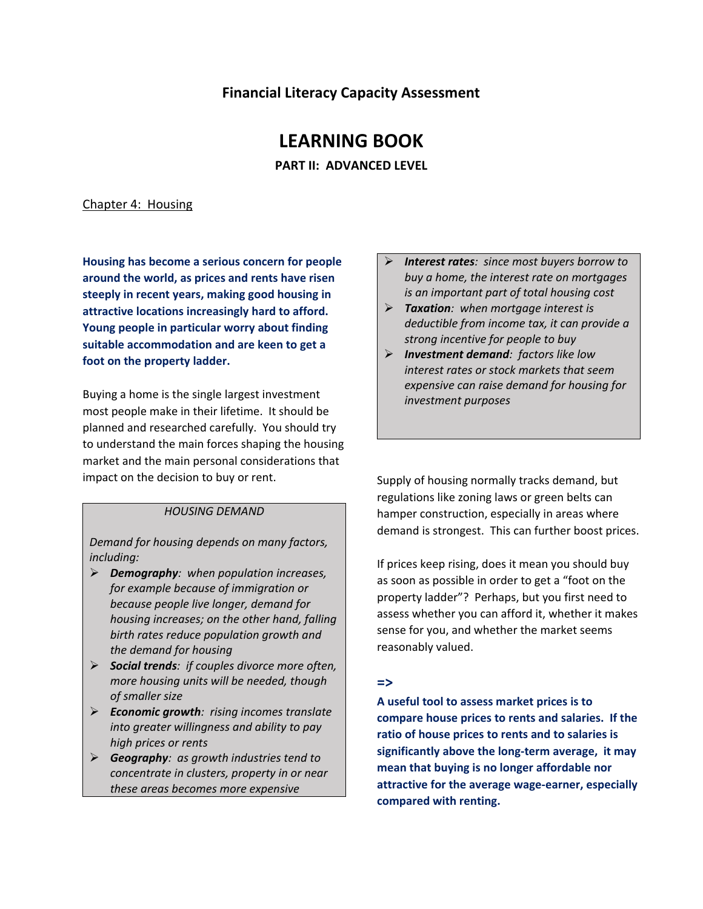## **Financial Literacy Capacity Assessment**

# **LEARNING BOOK**

**PART II: ADVANCED LEVEL**

#### Chapter 4: Housing

**Housing has become a serious concern for people around the world, as prices and rents have risen steeply in recent years, making good housing in attractive locations increasingly hard to afford. Young people in particular worry about finding suitable accommodation and are keen to get a foot on the property ladder.**

Buying a home is the single largest investment most people make in their lifetime. It should be planned and researched carefully. You should try to understand the main forces shaping the housing market and the main personal considerations that impact on the decision to buy or rent.

#### *HOUSING DEMAND*

*Demand for housing depends on many factors, including:* 

- *Demography: when population increases, for example because of immigration or because people live longer, demand for housing increases; on the other hand, falling birth rates reduce population growth and the demand for housing*
- *Social trends: if couples divorce more often, more housing units will be needed, though of smaller size*
- *Economic growth: rising incomes translate into greater willingness and ability to pay high prices or rents*
- *Geography: as growth industries tend to concentrate in clusters, property in or near these areas becomes more expensive*
- *Interest rates: since most buyers borrow to buy a home, the interest rate on mortgages is an important part of total housing cost*
- *Taxation: when mortgage interest is deductible from income tax, it can provide a strong incentive for people to buy*
- *Investment demand: factors like low interest rates or stock markets that seem expensive can raise demand for housing for investment purposes*

Supply of housing normally tracks demand, but regulations like zoning laws or green belts can hamper construction, especially in areas where demand is strongest. This can further boost prices.

If prices keep rising, does it mean you should buy as soon as possible in order to get a "foot on the property ladder"? Perhaps, but you first need to assess whether you can afford it, whether it makes sense for you, and whether the market seems reasonably valued.

#### **=>**

**A useful tool to assess market prices is to compare house prices to rents and salaries. If the ratio of house prices to rents and to salaries is significantly above the long-term average, it may mean that buying is no longer affordable nor attractive for the average wage-earner, especially compared with renting.**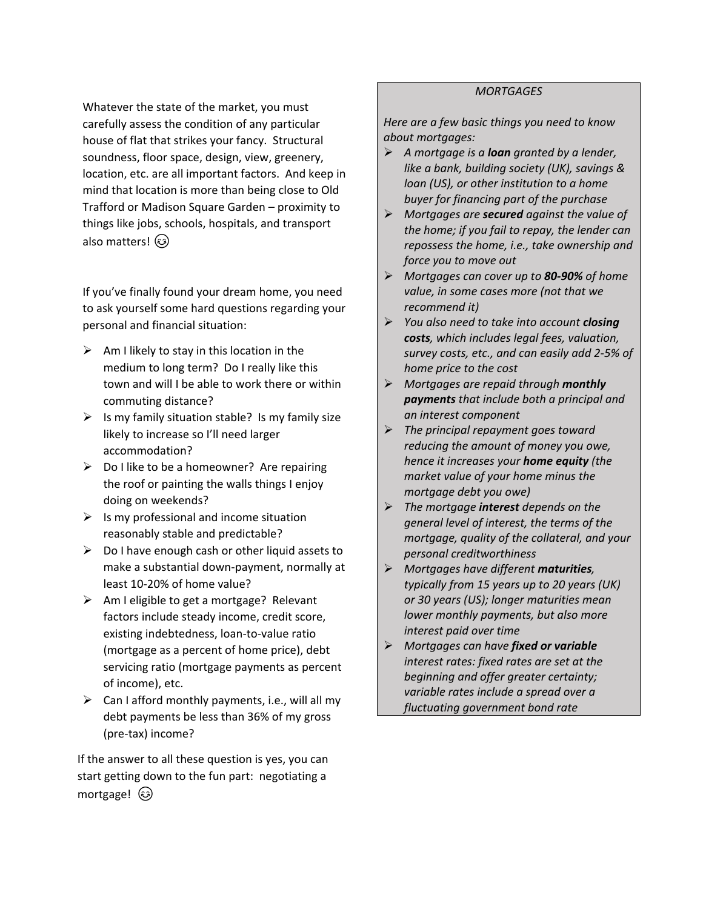Whatever the state of the market, you must carefully assess the condition of any particular house of flat that strikes your fancy. Structural soundness, floor space, design, view, greenery, location, etc. are all important factors. And keep in mind that location is more than being close to Old Trafford or Madison Square Garden – proximity to things like jobs, schools, hospitals, and transport also matters!

If you've finally found your dream home, you need to ask yourself some hard questions regarding your personal and financial situation:

- $\triangleright$  Am I likely to stay in this location in the medium to long term? Do I really like this town and will I be able to work there or within commuting distance?
- $\triangleright$  Is my family situation stable? Is my family size likely to increase so I'll need larger accommodation?
- $\triangleright$  Do I like to be a homeowner? Are repairing the roof or painting the walls things I enjoy doing on weekends?
- $\triangleright$  Is my professional and income situation reasonably stable and predictable?
- $\triangleright$  Do I have enough cash or other liquid assets to make a substantial down-payment, normally at least 10-20% of home value?
- $\triangleright$  Am I eligible to get a mortgage? Relevant factors include steady income, credit score, existing indebtedness, loan-to-value ratio (mortgage as a percent of home price), debt servicing ratio (mortgage payments as percent of income), etc.
- $\triangleright$  Can I afford monthly payments, i.e., will all my debt payments be less than 36% of my gross (pre-tax) income?

If the answer to all these question is yes, you can start getting down to the fun part: negotiating a mortgage! (ම)

## *MORTGAGES*

*Here are a few basic things you need to know about mortgages:*

- *A mortgage is a loan granted by a lender, like a bank, building society (UK), savings & loan (US), or other institution to a home buyer for financing part of the purchase*
- *Mortgages are secured against the value of the home; if you fail to repay, the lender can repossess the home, i.e., take ownership and force you to move out*
- *Mortgages can cover up to 80-90% of home value, in some cases more (not that we recommend it)*
- *You also need to take into account closing costs, which includes legal fees, valuation, survey costs, etc., and can easily add 2-5% of home price to the cost*
- *Mortgages are repaid through monthly payments that include both a principal and an interest component*
- *The principal repayment goes toward reducing the amount of money you owe, hence it increases your home equity (the market value of your home minus the mortgage debt you owe)*
- *The mortgage interest depends on the general level of interest, the terms of the mortgage, quality of the collateral, and your personal creditworthiness*
- *Mortgages have different maturities, typically from 15 years up to 20 years (UK) or 30 years (US); longer maturities mean lower monthly payments, but also more interest paid over time*
- *Mortgages can have fixed or variable interest rates: fixed rates are set at the beginning and offer greater certainty; variable rates include a spread over a fluctuating government bond rate*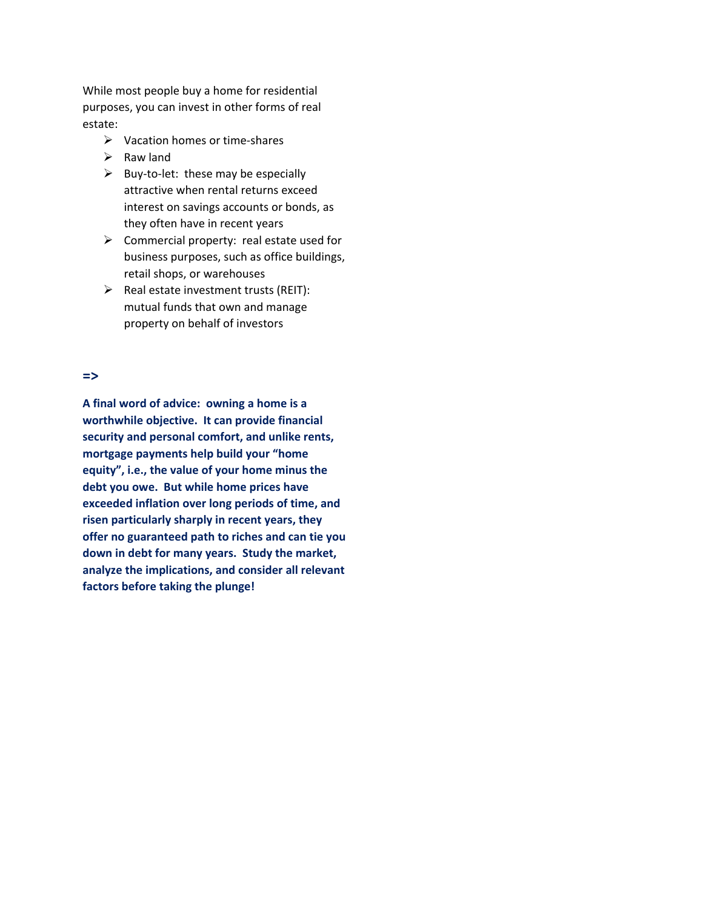While most people buy a home for residential purposes, you can invest in other forms of real estate:

- $\triangleright$  Vacation homes or time-shares
- $\triangleright$  Raw land
- $\triangleright$  Buy-to-let: these may be especially attractive when rental returns exceed interest on savings accounts or bonds, as they often have in recent years
- $\triangleright$  Commercial property: real estate used for business purposes, such as office buildings, retail shops, or warehouses
- $\triangleright$  Real estate investment trusts (REIT): mutual funds that own and manage property on behalf of investors

#### **=>**

**A final word of advice: owning a home is a worthwhile objective. It can provide financial security and personal comfort, and unlike rents, mortgage payments help build your "home equity", i.e., the value of your home minus the debt you owe. But while home prices have exceeded inflation over long periods of time, and risen particularly sharply in recent years, they offer no guaranteed path to riches and can tie you down in debt for many years. Study the market, analyze the implications, and consider all relevant factors before taking the plunge!**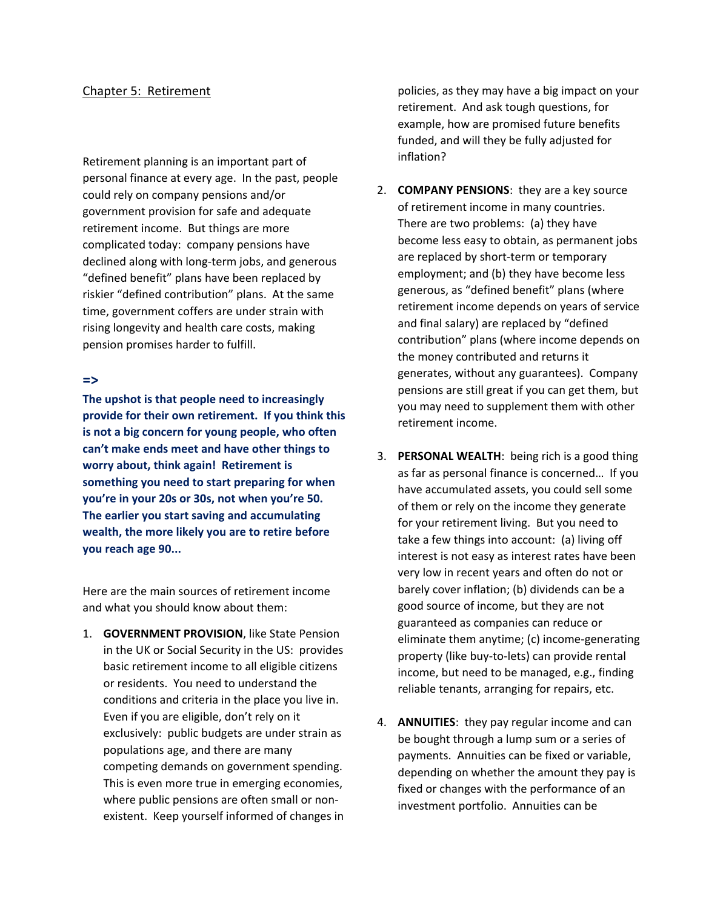### Chapter 5: Retirement

Retirement planning is an important part of personal finance at every age. In the past, people could rely on company pensions and/or government provision for safe and adequate retirement income. But things are more complicated today: company pensions have declined along with long-term jobs, and generous "defined benefit" plans have been replaced by riskier "defined contribution" plans. At the same time, government coffers are under strain with rising longevity and health care costs, making pension promises harder to fulfill.

#### **=>**

**The upshot is that people need to increasingly provide for their own retirement. If you think this is not a big concern for young people, who often can't make ends meet and have other things to worry about, think again! Retirement is something you need to start preparing for when you're in your 20s or 30s, not when you're 50. The earlier you start saving and accumulating wealth, the more likely you are to retire before you reach age 90...**

Here are the main sources of retirement income and what you should know about them:

1. **GOVERNMENT PROVISION**, like State Pension in the UK or Social Security in the US: provides basic retirement income to all eligible citizens or residents. You need to understand the conditions and criteria in the place you live in. Even if you are eligible, don't rely on it exclusively: public budgets are under strain as populations age, and there are many competing demands on government spending. This is even more true in emerging economies, where public pensions are often small or nonexistent. Keep yourself informed of changes in policies, as they may have a big impact on your retirement. And ask tough questions, for example, how are promised future benefits funded, and will they be fully adjusted for inflation?

- 2. **COMPANY PENSIONS**: they are a key source of retirement income in many countries. There are two problems: (a) they have become less easy to obtain, as permanent jobs are replaced by short-term or temporary employment; and (b) they have become less generous, as "defined benefit" plans (where retirement income depends on years of service and final salary) are replaced by "defined contribution" plans (where income depends on the money contributed and returns it generates, without any guarantees). Company pensions are still great if you can get them, but you may need to supplement them with other retirement income.
- 3. **PERSONAL WEALTH**: being rich is a good thing as far as personal finance is concerned… If you have accumulated assets, you could sell some of them or rely on the income they generate for your retirement living. But you need to take a few things into account: (a) living off interest is not easy as interest rates have been very low in recent years and often do not or barely cover inflation; (b) dividends can be a good source of income, but they are not guaranteed as companies can reduce or eliminate them anytime; (c) income-generating property (like buy-to-lets) can provide rental income, but need to be managed, e.g., finding reliable tenants, arranging for repairs, etc.
- 4. **ANNUITIES**: they pay regular income and can be bought through a lump sum or a series of payments. Annuities can be fixed or variable, depending on whether the amount they pay is fixed or changes with the performance of an investment portfolio. Annuities can be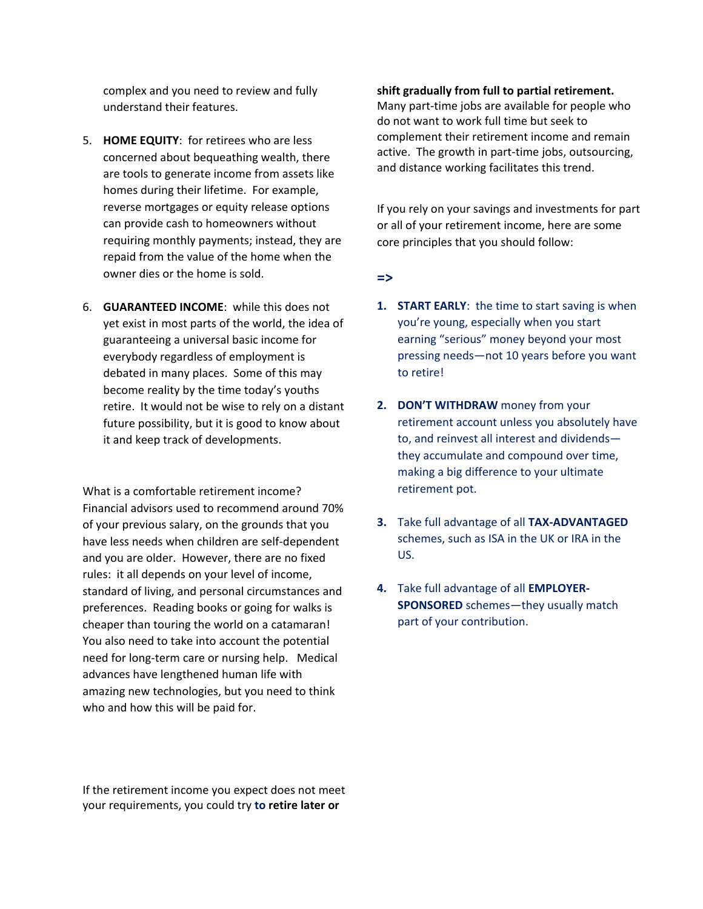complex and you need to review and fully understand their features.

- 5. **HOME EQUITY**: for retirees who are less concerned about bequeathing wealth, there are tools to generate income from assets like homes during their lifetime. For example, reverse mortgages or equity release options can provide cash to homeowners without requiring monthly payments; instead, they are repaid from the value of the home when the owner dies or the home is sold.
- 6. **GUARANTEED INCOME**: while this does not yet exist in most parts of the world, the idea of guaranteeing a universal basic income for everybody regardless of employment is debated in many places. Some of this may become reality by the time today's youths retire. It would not be wise to rely on a distant future possibility, but it is good to know about it and keep track of developments.

What is a comfortable retirement income? Financial advisors used to recommend around 70% of your previous salary, on the grounds that you have less needs when children are self-dependent and you are older. However, there are no fixed rules: it all depends on your level of income, standard of living, and personal circumstances and preferences. Reading books or going for walks is cheaper than touring the world on a catamaran! You also need to take into account the potential need for long-term care or nursing help. Medical advances have lengthened human life with amazing new technologies, but you need to think who and how this will be paid for.

If the retirement income you expect does not meet your requirements, you could try **to retire later or** 

#### **shift gradually from full to partial retirement.**

Many part-time jobs are available for people who do not want to work full time but seek to complement their retirement income and remain active. The growth in part-time jobs, outsourcing, and distance working facilitates this trend.

If you rely on your savings and investments for part or all of your retirement income, here are some core principles that you should follow:

#### **=>**

- **1. START EARLY**: the time to start saving is when you're young, especially when you start earning "serious" money beyond your most pressing needs—not 10 years before you want to retire!
- **2. DON'T WITHDRAW** money from your retirement account unless you absolutely have to, and reinvest all interest and dividends they accumulate and compound over time, making a big difference to your ultimate retirement pot.
- **3.** Take full advantage of all **TAX-ADVANTAGED** schemes, such as ISA in the UK or IRA in the US.
- **4.** Take full advantage of all **EMPLOYER-SPONSORED** schemes—they usually match part of your contribution.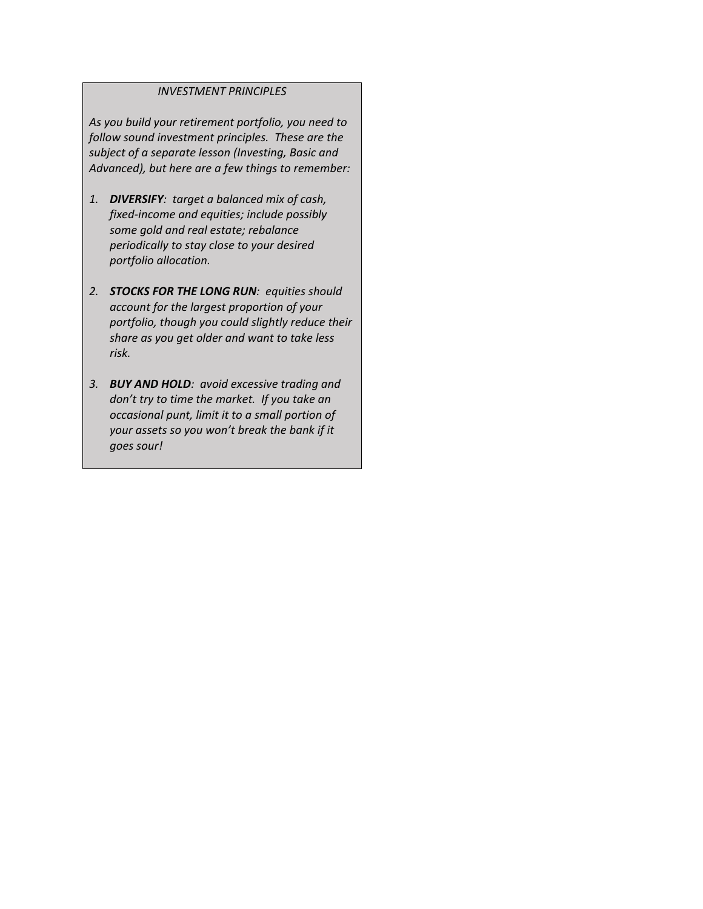### *INVESTMENT PRINCIPLES*

*As you build your retirement portfolio, you need to follow sound investment principles. These are the subject of a separate lesson (Investing, Basic and Advanced), but here are a few things to remember:*

- *1. DIVERSIFY: target a balanced mix of cash, fixed-income and equities; include possibly some gold and real estate; rebalance periodically to stay close to your desired portfolio allocation.*
- *2. STOCKS FOR THE LONG RUN: equities should account for the largest proportion of your portfolio, though you could slightly reduce their share as you get older and want to take less risk.*
- *3. BUY AND HOLD: avoid excessive trading and don't try to time the market. If you take an occasional punt, limit it to a small portion of your assets so you won't break the bank if it goes sour!*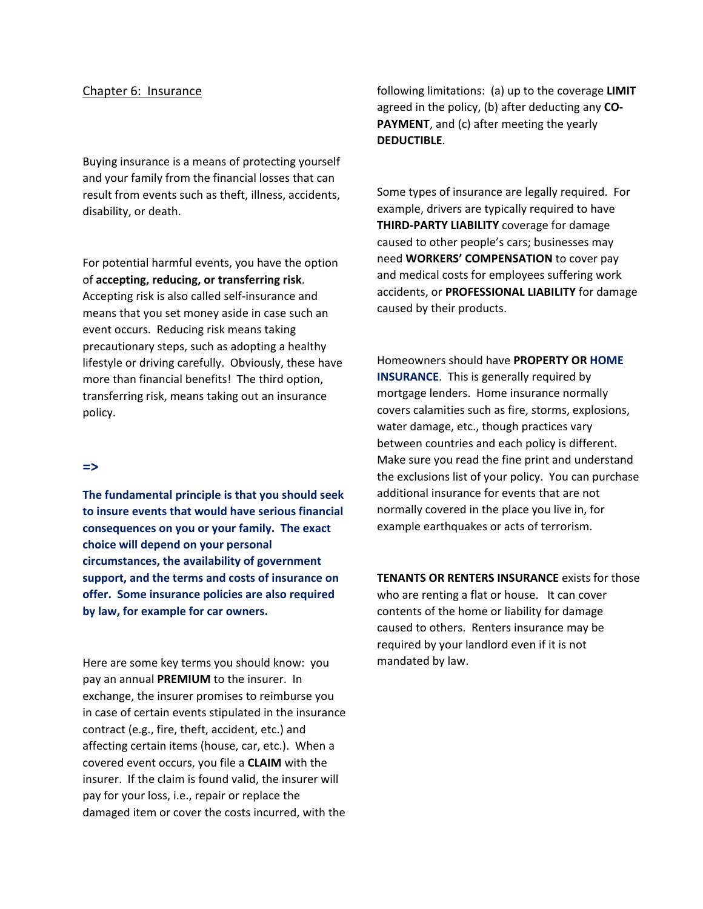#### Chapter 6: Insurance

Buying insurance is a means of protecting yourself and your family from the financial losses that can result from events such as theft, illness, accidents, disability, or death.

For potential harmful events, you have the option of **accepting, reducing, or transferring risk**. Accepting risk is also called self-insurance and means that you set money aside in case such an event occurs. Reducing risk means taking precautionary steps, such as adopting a healthy lifestyle or driving carefully. Obviously, these have more than financial benefits! The third option, transferring risk, means taking out an insurance policy.

#### **=>**

**The fundamental principle is that you should seek to insure events that would have serious financial consequences on you or your family. The exact choice will depend on your personal circumstances, the availability of government support, and the terms and costs of insurance on offer. Some insurance policies are also required by law, for example for car owners.**

Here are some key terms you should know: you pay an annual **PREMIUM** to the insurer. In exchange, the insurer promises to reimburse you in case of certain events stipulated in the insurance contract (e.g., fire, theft, accident, etc.) and affecting certain items (house, car, etc.). When a covered event occurs, you file a **CLAIM** with the insurer. If the claim is found valid, the insurer will pay for your loss, i.e., repair or replace the damaged item or cover the costs incurred, with the following limitations: (a) up to the coverage **LIMIT** agreed in the policy, (b) after deducting any **CO-PAYMENT**, and (c) after meeting the yearly **DEDUCTIBLE**.

Some types of insurance are legally required. For example, drivers are typically required to have **THIRD-PARTY LIABILITY** coverage for damage caused to other people's cars; businesses may need **WORKERS' COMPENSATION** to cover pay and medical costs for employees suffering work accidents, or **PROFESSIONAL LIABILITY** for damage caused by their products.

Homeowners should have **PROPERTY OR HOME INSURANCE**. This is generally required by mortgage lenders. Home insurance normally covers calamities such as fire, storms, explosions, water damage, etc., though practices vary between countries and each policy is different. Make sure you read the fine print and understand the exclusions list of your policy. You can purchase additional insurance for events that are not normally covered in the place you live in, for example earthquakes or acts of terrorism.

**TENANTS OR RENTERS INSURANCE** exists for those who are renting a flat or house. It can cover contents of the home or liability for damage caused to others. Renters insurance may be required by your landlord even if it is not mandated by law.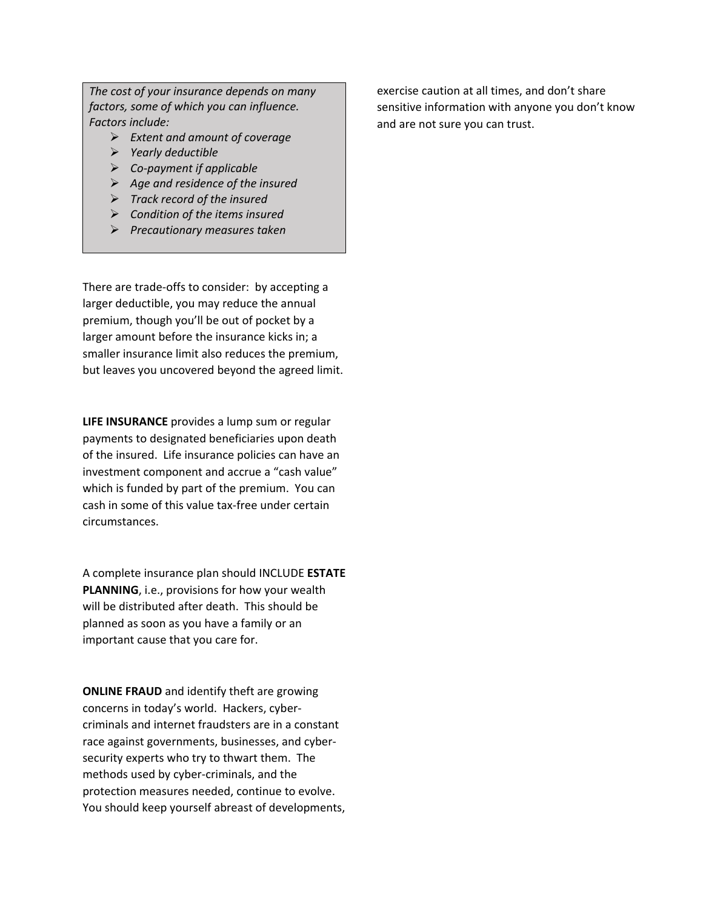*The cost of your insurance depends on many factors, some of which you can influence. Factors include:*

- *Extent and amount of coverage*
- *Yearly deductible*
- *Co-payment if applicable*
- *Age and residence of the insured*
- *Track record of the insured*
- *Condition of the items insured*
- *Precautionary measures taken*

There are trade-offs to consider: by accepting a larger deductible, you may reduce the annual premium, though you'll be out of pocket by a larger amount before the insurance kicks in; a smaller insurance limit also reduces the premium, but leaves you uncovered beyond the agreed limit.

**LIFE INSURANCE** provides a lump sum or regular payments to designated beneficiaries upon death of the insured. Life insurance policies can have an investment component and accrue a "cash value" which is funded by part of the premium. You can cash in some of this value tax-free under certain circumstances.

A complete insurance plan should INCLUDE **ESTATE PLANNING**, i.e., provisions for how your wealth will be distributed after death. This should be planned as soon as you have a family or an important cause that you care for.

**ONLINE FRAUD** and identify theft are growing concerns in today's world. Hackers, cybercriminals and internet fraudsters are in a constant race against governments, businesses, and cybersecurity experts who try to thwart them. The methods used by cyber-criminals, and the protection measures needed, continue to evolve. You should keep yourself abreast of developments,

exercise caution at all times, and don't share sensitive information with anyone you don't know and are not sure you can trust.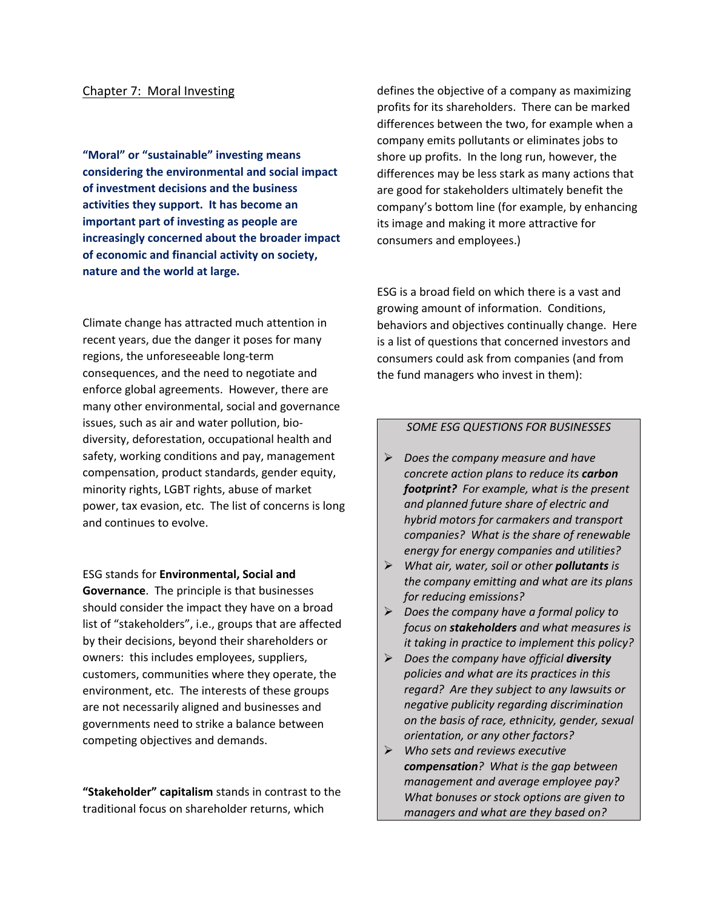#### Chapter 7: Moral Investing

**"Moral" or "sustainable" investing means considering the environmental and social impact of investment decisions and the business activities they support. It has become an important part of investing as people are increasingly concerned about the broader impact of economic and financial activity on society, nature and the world at large.** 

Climate change has attracted much attention in recent years, due the danger it poses for many regions, the unforeseeable long-term consequences, and the need to negotiate and enforce global agreements. However, there are many other environmental, social and governance issues, such as air and water pollution, biodiversity, deforestation, occupational health and safety, working conditions and pay, management compensation, product standards, gender equity, minority rights, LGBT rights, abuse of market power, tax evasion, etc. The list of concerns is long and continues to evolve.

ESG stands for **Environmental, Social and Governance**. The principle is that businesses should consider the impact they have on a broad list of "stakeholders", i.e., groups that are affected by their decisions, beyond their shareholders or owners: this includes employees, suppliers, customers, communities where they operate, the environment, etc. The interests of these groups are not necessarily aligned and businesses and governments need to strike a balance between competing objectives and demands.

**"Stakeholder" capitalism** stands in contrast to the traditional focus on shareholder returns, which

defines the objective of a company as maximizing profits for its shareholders. There can be marked differences between the two, for example when a company emits pollutants or eliminates jobs to shore up profits. In the long run, however, the differences may be less stark as many actions that are good for stakeholders ultimately benefit the company's bottom line (for example, by enhancing its image and making it more attractive for consumers and employees.)

ESG is a broad field on which there is a vast and growing amount of information. Conditions, behaviors and objectives continually change. Here is a list of questions that concerned investors and consumers could ask from companies (and from the fund managers who invest in them):

#### *SOME ESG QUESTIONS FOR BUSINESSES*

- *Does the company measure and have concrete action plans to reduce its carbon footprint? For example, what is the present and planned future share of electric and hybrid motors for carmakers and transport companies? What is the share of renewable energy for energy companies and utilities?*
- *What air, water, soil or other pollutants is the company emitting and what are its plans for reducing emissions?*
- *Does the company have a formal policy to focus on stakeholders and what measures is it taking in practice to implement this policy?*
- *Does the company have official diversity policies and what are its practices in this regard? Are they subject to any lawsuits or negative publicity regarding discrimination on the basis of race, ethnicity, gender, sexual orientation, or any other factors?*
- *Who sets and reviews executive compensation? What is the gap between management and average employee pay? What bonuses or stock options are given to managers and what are they based on?*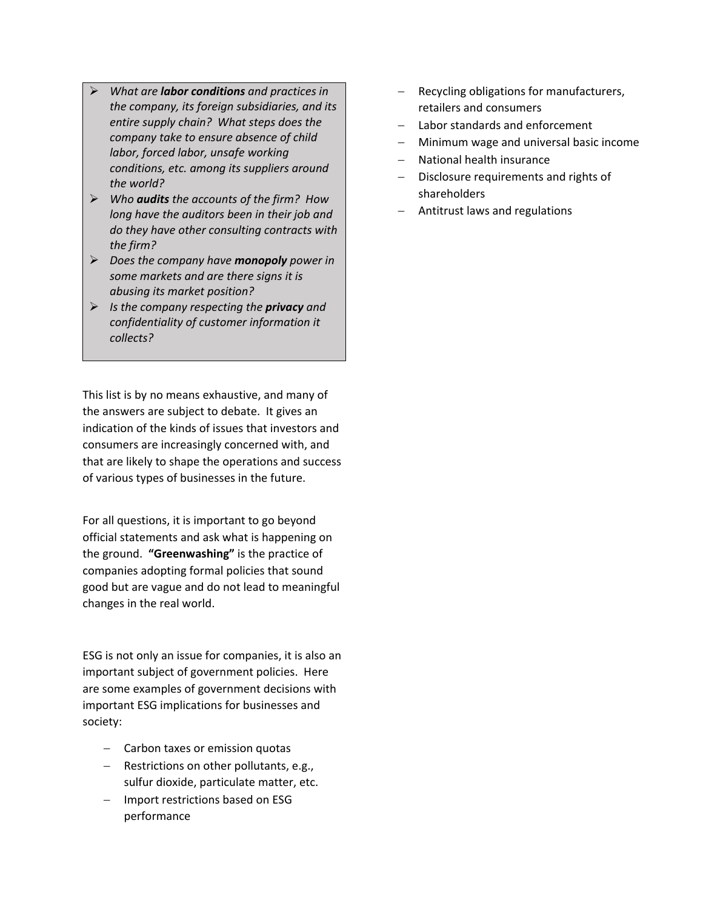- *What are labor conditions and practices in the company, its foreign subsidiaries, and its entire supply chain? What steps does the company take to ensure absence of child labor, forced labor, unsafe working conditions, etc. among its suppliers around the world?*
- *Who audits the accounts of the firm? How long have the auditors been in their job and do they have other consulting contracts with the firm?*
- *Does the company have monopoly power in some markets and are there signs it is abusing its market position?*
- *Is the company respecting the privacy and confidentiality of customer information it collects?*

This list is by no means exhaustive, and many of the answers are subject to debate. It gives an indication of the kinds of issues that investors and consumers are increasingly concerned with, and that are likely to shape the operations and success of various types of businesses in the future.

For all questions, it is important to go beyond official statements and ask what is happening on the ground. **"Greenwashing"** is the practice of companies adopting formal policies that sound good but are vague and do not lead to meaningful changes in the real world.

ESG is not only an issue for companies, it is also an important subject of government policies. Here are some examples of government decisions with important ESG implications for businesses and society:

- − Carbon taxes or emission quotas
- − Restrictions on other pollutants, e.g., sulfur dioxide, particulate matter, etc.
- − Import restrictions based on ESG performance
- − Recycling obligations for manufacturers, retailers and consumers
- − Labor standards and enforcement
- − Minimum wage and universal basic income
- − National health insurance
- − Disclosure requirements and rights of shareholders
- − Antitrust laws and regulations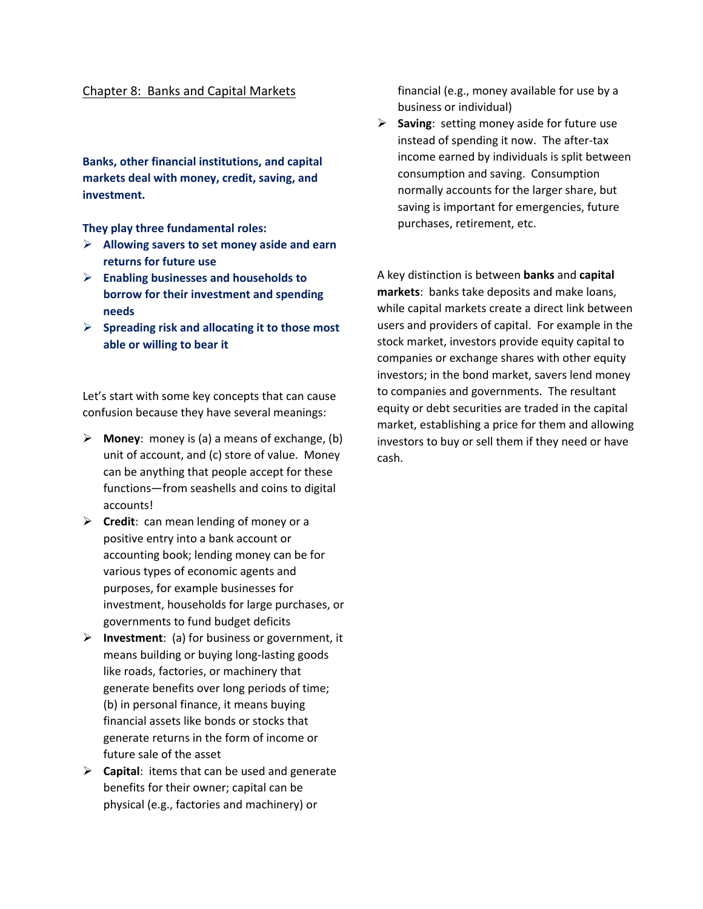## Chapter 8: Banks and Capital Markets

**Banks, other financial institutions, and capital markets deal with money, credit, saving, and investment.**

**They play three fundamental roles:** 

- **Allowing savers to set money aside and earn returns for future use**
- **Enabling businesses and households to borrow for their investment and spending needs**
- **Spreading risk and allocating it to those most able or willing to bear it**

Let's start with some key concepts that can cause confusion because they have several meanings:

- **Money**: money is (a) a means of exchange, (b) unit of account, and (c) store of value. Money can be anything that people accept for these functions—from seashells and coins to digital accounts!
- **Credit**: can mean lending of money or a positive entry into a bank account or accounting book; lending money can be for various types of economic agents and purposes, for example businesses for investment, households for large purchases, or governments to fund budget deficits
- **Investment**: (a) for business or government, it means building or buying long-lasting goods like roads, factories, or machinery that generate benefits over long periods of time; (b) in personal finance, it means buying financial assets like bonds or stocks that generate returns in the form of income or future sale of the asset
- **Capital**: items that can be used and generate benefits for their owner; capital can be physical (e.g., factories and machinery) or

financial (e.g., money available for use by a business or individual)

 **Saving**: setting money aside for future use instead of spending it now. The after-tax income earned by individuals is split between consumption and saving. Consumption normally accounts for the larger share, but saving is important for emergencies, future purchases, retirement, etc.

A key distinction is between **banks** and **capital markets**: banks take deposits and make loans, while capital markets create a direct link between users and providers of capital. For example in the stock market, investors provide equity capital to companies or exchange shares with other equity investors; in the bond market, savers lend money to companies and governments. The resultant equity or debt securities are traded in the capital market, establishing a price for them and allowing investors to buy or sell them if they need or have cash.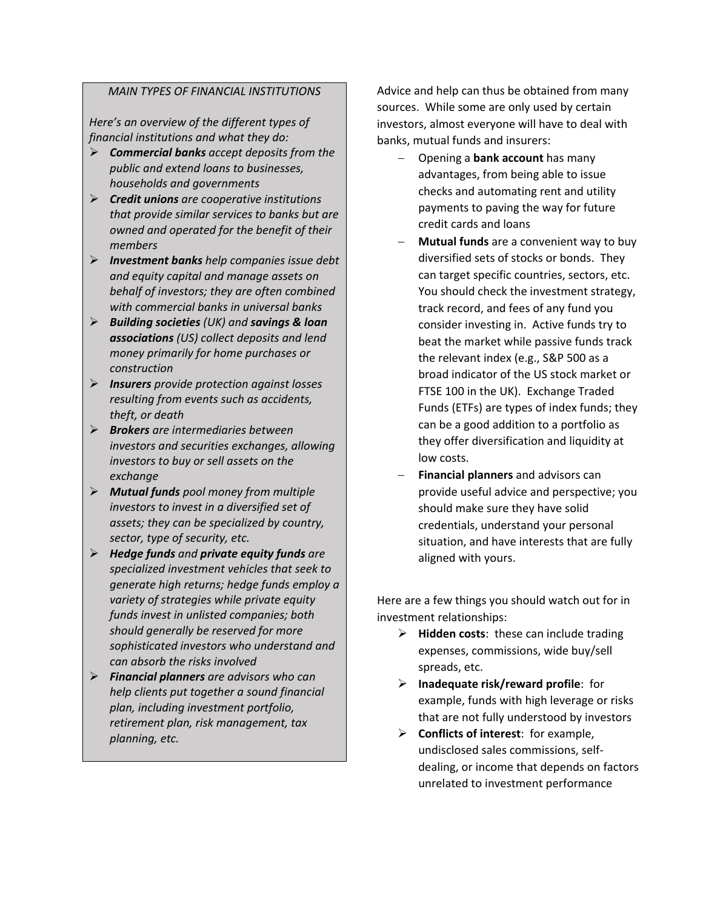### *MAIN TYPES OF FINANCIAL INSTITUTIONS*

*Here's an overview of the different types of financial institutions and what they do:*

- *Commercial banks accept deposits from the public and extend loans to businesses, households and governments*
- *Credit unions are cooperative institutions that provide similar services to banks but are owned and operated for the benefit of their members*
- *Investment banks help companies issue debt and equity capital and manage assets on behalf of investors; they are often combined with commercial banks in universal banks*
- *Building societies (UK) and savings & loan associations (US) collect deposits and lend money primarily for home purchases or construction*
- *Insurers provide protection against losses resulting from events such as accidents, theft, or death*
- *Brokers are intermediaries between investors and securities exchanges, allowing investors to buy or sell assets on the exchange*
- *Mutual funds pool money from multiple investors to invest in a diversified set of assets; they can be specialized by country, sector, type of security, etc.*
- *Hedge funds and private equity funds are specialized investment vehicles that seek to generate high returns; hedge funds employ a variety of strategies while private equity funds invest in unlisted companies; both should generally be reserved for more sophisticated investors who understand and can absorb the risks involved*
- *Financial planners are advisors who can help clients put together a sound financial plan, including investment portfolio, retirement plan, risk management, tax planning, etc.*

Advice and help can thus be obtained from many sources. While some are only used by certain investors, almost everyone will have to deal with banks, mutual funds and insurers:

- − Opening a **bank account** has many advantages, from being able to issue checks and automating rent and utility payments to paving the way for future credit cards and loans
- − **Mutual funds** are a convenient way to buy diversified sets of stocks or bonds. They can target specific countries, sectors, etc. You should check the investment strategy, track record, and fees of any fund you consider investing in. Active funds try to beat the market while passive funds track the relevant index (e.g., S&P 500 as a broad indicator of the US stock market or FTSE 100 in the UK). Exchange Traded Funds (ETFs) are types of index funds; they can be a good addition to a portfolio as they offer diversification and liquidity at low costs.
- − **Financial planners** and advisors can provide useful advice and perspective; you should make sure they have solid credentials, understand your personal situation, and have interests that are fully aligned with yours.

Here are a few things you should watch out for in investment relationships:

- **Hidden costs**: these can include trading expenses, commissions, wide buy/sell spreads, etc.
- **Inadequate risk/reward profile**: for example, funds with high leverage or risks that are not fully understood by investors
- **Conflicts of interest**: for example, undisclosed sales commissions, selfdealing, or income that depends on factors unrelated to investment performance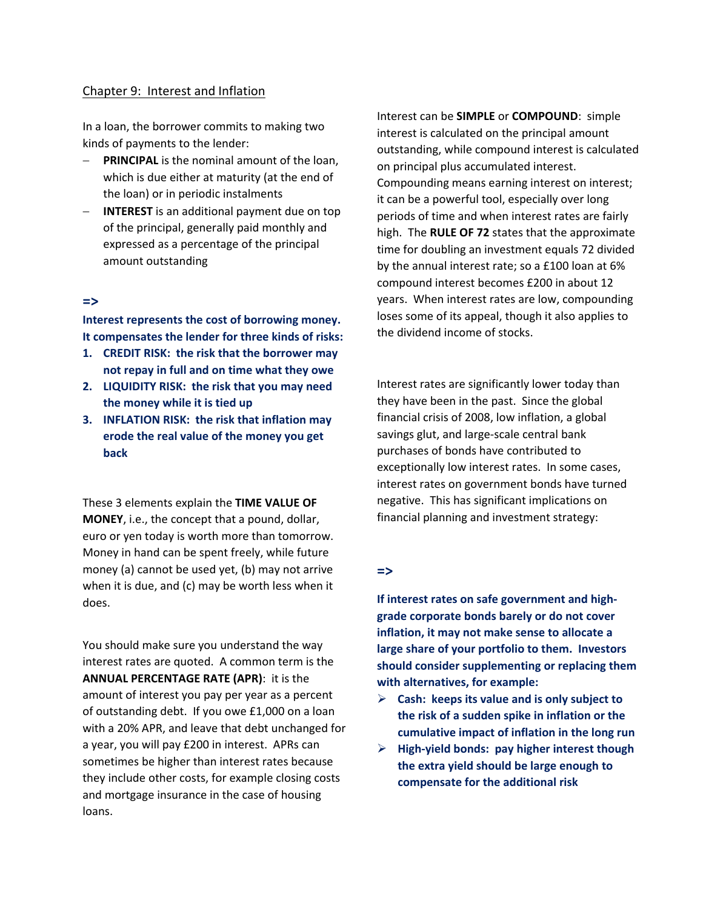## Chapter 9: Interest and Inflation

In a loan, the borrower commits to making two kinds of payments to the lender:

- − **PRINCIPAL** is the nominal amount of the loan, which is due either at maturity (at the end of the loan) or in periodic instalments
- − **INTEREST** is an additional payment due on top of the principal, generally paid monthly and expressed as a percentage of the principal amount outstanding

## **=>**

**Interest represents the cost of borrowing money. It compensates the lender for three kinds of risks:** 

- **1. CREDIT RISK: the risk that the borrower may not repay in full and on time what they owe**
- **2. LIQUIDITY RISK: the risk that you may need the money while it is tied up**
- **3. INFLATION RISK: the risk that inflation may erode the real value of the money you get back**

These 3 elements explain the **TIME VALUE OF MONEY**, i.e., the concept that a pound, dollar, euro or yen today is worth more than tomorrow. Money in hand can be spent freely, while future money (a) cannot be used yet, (b) may not arrive when it is due, and (c) may be worth less when it does.

You should make sure you understand the way interest rates are quoted. A common term is the **ANNUAL PERCENTAGE RATE (APR)**: it is the amount of interest you pay per year as a percent of outstanding debt. If you owe £1,000 on a loan with a 20% APR, and leave that debt unchanged for a year, you will pay £200 in interest. APRs can sometimes be higher than interest rates because they include other costs, for example closing costs and mortgage insurance in the case of housing loans.

Interest can be **SIMPLE** or **COMPOUND**: simple interest is calculated on the principal amount outstanding, while compound interest is calculated on principal plus accumulated interest. Compounding means earning interest on interest; it can be a powerful tool, especially over long periods of time and when interest rates are fairly high. The **RULE OF 72** states that the approximate time for doubling an investment equals 72 divided by the annual interest rate; so a £100 loan at 6% compound interest becomes £200 in about 12 years. When interest rates are low, compounding loses some of its appeal, though it also applies to the dividend income of stocks.

Interest rates are significantly lower today than they have been in the past. Since the global financial crisis of 2008, low inflation, a global savings glut, and large-scale central bank purchases of bonds have contributed to exceptionally low interest rates. In some cases, interest rates on government bonds have turned negative. This has significant implications on financial planning and investment strategy:

## **=>**

**If interest rates on safe government and highgrade corporate bonds barely or do not cover inflation, it may not make sense to allocate a large share of your portfolio to them. Investors should consider supplementing or replacing them with alternatives, for example:**

- **Cash: keeps its value and is only subject to the risk of a sudden spike in inflation or the cumulative impact of inflation in the long run**
- **High-yield bonds: pay higher interest though the extra yield should be large enough to compensate for the additional risk**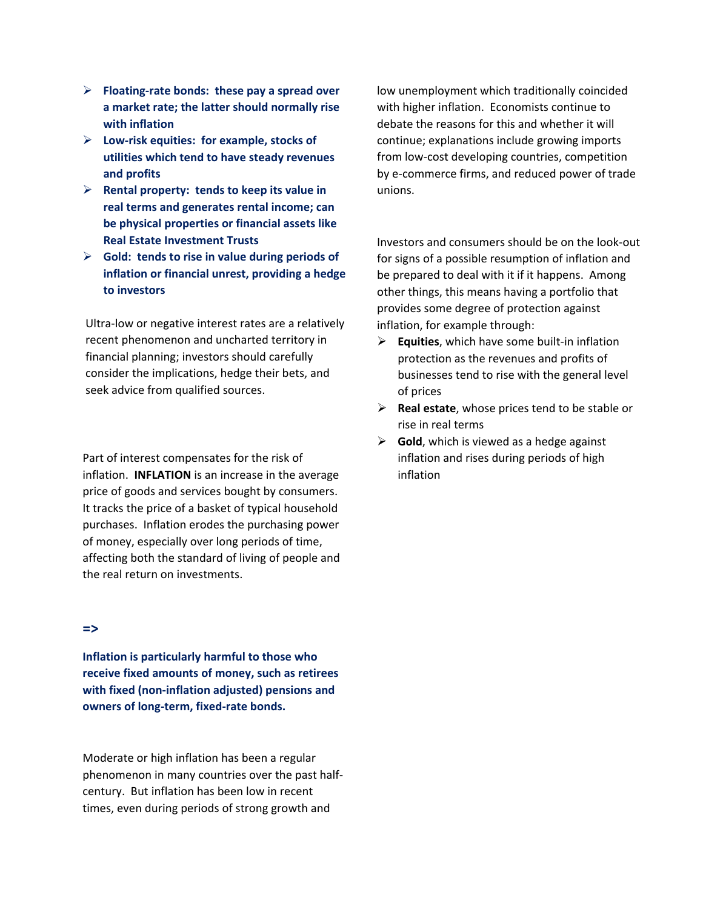- **Floating-rate bonds: these pay a spread over a market rate; the latter should normally rise with inflation**
- **Low-risk equities: for example, stocks of utilities which tend to have steady revenues and profits**
- **Rental property: tends to keep its value in real terms and generates rental income; can be physical properties or financial assets like Real Estate Investment Trusts**
- **Gold: tends to rise in value during periods of inflation or financial unrest, providing a hedge to investors**

Ultra-low or negative interest rates are a relatively recent phenomenon and uncharted territory in financial planning; investors should carefully consider the implications, hedge their bets, and seek advice from qualified sources.

Part of interest compensates for the risk of inflation. **INFLATION** is an increase in the average price of goods and services bought by consumers. It tracks the price of a basket of typical household purchases. Inflation erodes the purchasing power of money, especially over long periods of time, affecting both the standard of living of people and the real return on investments.

#### **=>**

**Inflation is particularly harmful to those who receive fixed amounts of money, such as retirees with fixed (non-inflation adjusted) pensions and owners of long-term, fixed-rate bonds.**

Moderate or high inflation has been a regular phenomenon in many countries over the past halfcentury. But inflation has been low in recent times, even during periods of strong growth and

low unemployment which traditionally coincided with higher inflation. Economists continue to debate the reasons for this and whether it will continue; explanations include growing imports from low-cost developing countries, competition by e-commerce firms, and reduced power of trade unions.

Investors and consumers should be on the look-out for signs of a possible resumption of inflation and be prepared to deal with it if it happens. Among other things, this means having a portfolio that provides some degree of protection against inflation, for example through:

- **Equities**, which have some built-in inflation protection as the revenues and profits of businesses tend to rise with the general level of prices
- **Real estate**, whose prices tend to be stable or rise in real terms
- **Gold**, which is viewed as a hedge against inflation and rises during periods of high inflation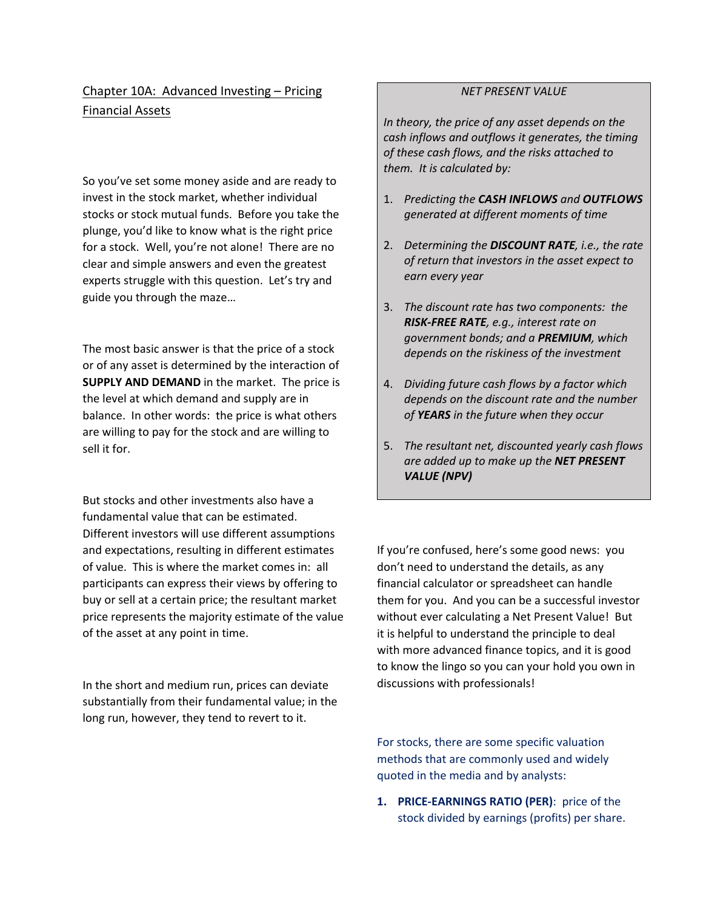## Chapter 10A: Advanced Investing – Pricing Financial Assets

So you've set some money aside and are ready to invest in the stock market, whether individual stocks or stock mutual funds. Before you take the plunge, you'd like to know what is the right price for a stock. Well, you're not alone! There are no clear and simple answers and even the greatest experts struggle with this question. Let's try and guide you through the maze…

The most basic answer is that the price of a stock or of any asset is determined by the interaction of **SUPPLY AND DEMAND** in the market. The price is the level at which demand and supply are in balance. In other words: the price is what others are willing to pay for the stock and are willing to sell it for.

But stocks and other investments also have a fundamental value that can be estimated. Different investors will use different assumptions and expectations, resulting in different estimates of value. This is where the market comes in: all participants can express their views by offering to buy or sell at a certain price; the resultant market price represents the majority estimate of the value of the asset at any point in time.

In the short and medium run, prices can deviate substantially from their fundamental value; in the long run, however, they tend to revert to it.

## *NET PRESENT VALUE*

*In theory, the price of any asset depends on the cash inflows and outflows it generates, the timing of these cash flows, and the risks attached to them. It is calculated by:*

- 1. *Predicting the CASH INFLOWS and OUTFLOWS generated at different moments of time*
- 2. *Determining the DISCOUNT RATE, i.e., the rate of return that investors in the asset expect to earn every year*
- 3. *The discount rate has two components: the RISK-FREE RATE, e.g., interest rate on government bonds; and a PREMIUM, which depends on the riskiness of the investment*
- 4. *Dividing future cash flows by a factor which depends on the discount rate and the number of YEARS in the future when they occur*
- 5. *The resultant net, discounted yearly cash flows are added up to make up the NET PRESENT VALUE (NPV)*

If you're confused, here's some good news: you don't need to understand the details, as any financial calculator or spreadsheet can handle them for you. And you can be a successful investor without ever calculating a Net Present Value! But it is helpful to understand the principle to deal with more advanced finance topics, and it is good to know the lingo so you can your hold you own in discussions with professionals!

For stocks, there are some specific valuation methods that are commonly used and widely quoted in the media and by analysts:

**1. PRICE-EARNINGS RATIO (PER)**: price of the stock divided by earnings (profits) per share.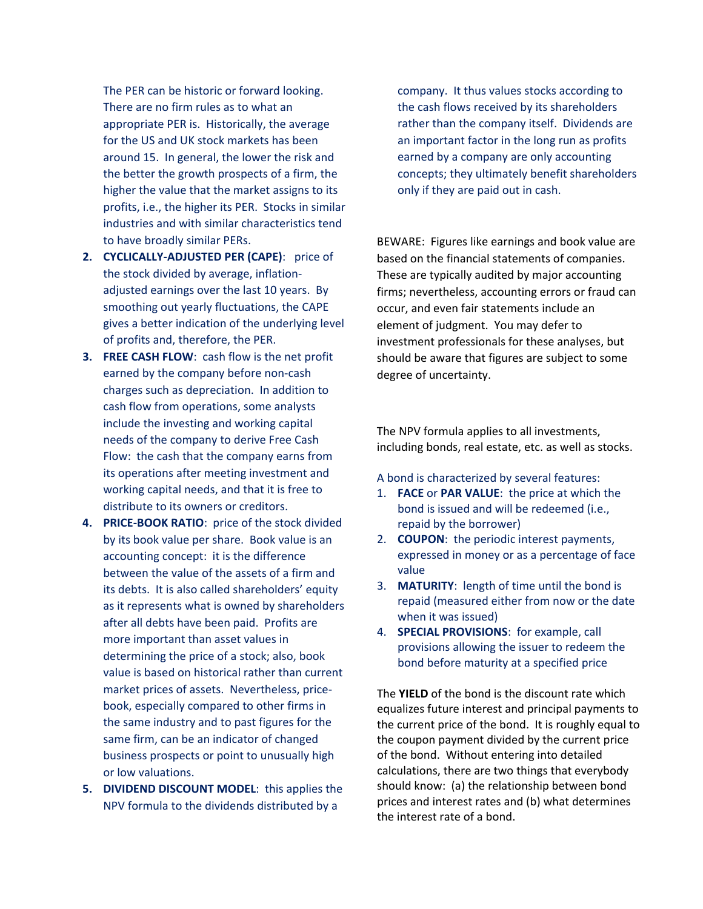The PER can be historic or forward looking. There are no firm rules as to what an appropriate PER is. Historically, the average for the US and UK stock markets has been around 15. In general, the lower the risk and the better the growth prospects of a firm, the higher the value that the market assigns to its profits, i.e., the higher its PER. Stocks in similar industries and with similar characteristics tend to have broadly similar PERs.

- **2. CYCLICALLY-ADJUSTED PER (CAPE)**: price of the stock divided by average, inflationadjusted earnings over the last 10 years. By smoothing out yearly fluctuations, the CAPE gives a better indication of the underlying level of profits and, therefore, the PER.
- **3. FREE CASH FLOW**: cash flow is the net profit earned by the company before non-cash charges such as depreciation. In addition to cash flow from operations, some analysts include the investing and working capital needs of the company to derive Free Cash Flow: the cash that the company earns from its operations after meeting investment and working capital needs, and that it is free to distribute to its owners or creditors.
- **4. PRICE-BOOK RATIO**: price of the stock divided by its book value per share. Book value is an accounting concept: it is the difference between the value of the assets of a firm and its debts. It is also called shareholders' equity as it represents what is owned by shareholders after all debts have been paid. Profits are more important than asset values in determining the price of a stock; also, book value is based on historical rather than current market prices of assets. Nevertheless, pricebook, especially compared to other firms in the same industry and to past figures for the same firm, can be an indicator of changed business prospects or point to unusually high or low valuations.
- **5. DIVIDEND DISCOUNT MODEL**: this applies the NPV formula to the dividends distributed by a

company. It thus values stocks according to the cash flows received by its shareholders rather than the company itself. Dividends are an important factor in the long run as profits earned by a company are only accounting concepts; they ultimately benefit shareholders only if they are paid out in cash.

BEWARE: Figures like earnings and book value are based on the financial statements of companies. These are typically audited by major accounting firms; nevertheless, accounting errors or fraud can occur, and even fair statements include an element of judgment. You may defer to investment professionals for these analyses, but should be aware that figures are subject to some degree of uncertainty.

The NPV formula applies to all investments, including bonds, real estate, etc. as well as stocks.

A bond is characterized by several features:

- 1. **FACE** or **PAR VALUE**: the price at which the bond is issued and will be redeemed (i.e., repaid by the borrower)
- 2. **COUPON**: the periodic interest payments, expressed in money or as a percentage of face value
- 3. **MATURITY**: length of time until the bond is repaid (measured either from now or the date when it was issued)
- 4. **SPECIAL PROVISIONS**: for example, call provisions allowing the issuer to redeem the bond before maturity at a specified price

The **YIELD** of the bond is the discount rate which equalizes future interest and principal payments to the current price of the bond. It is roughly equal to the coupon payment divided by the current price of the bond. Without entering into detailed calculations, there are two things that everybody should know: (a) the relationship between bond prices and interest rates and (b) what determines the interest rate of a bond.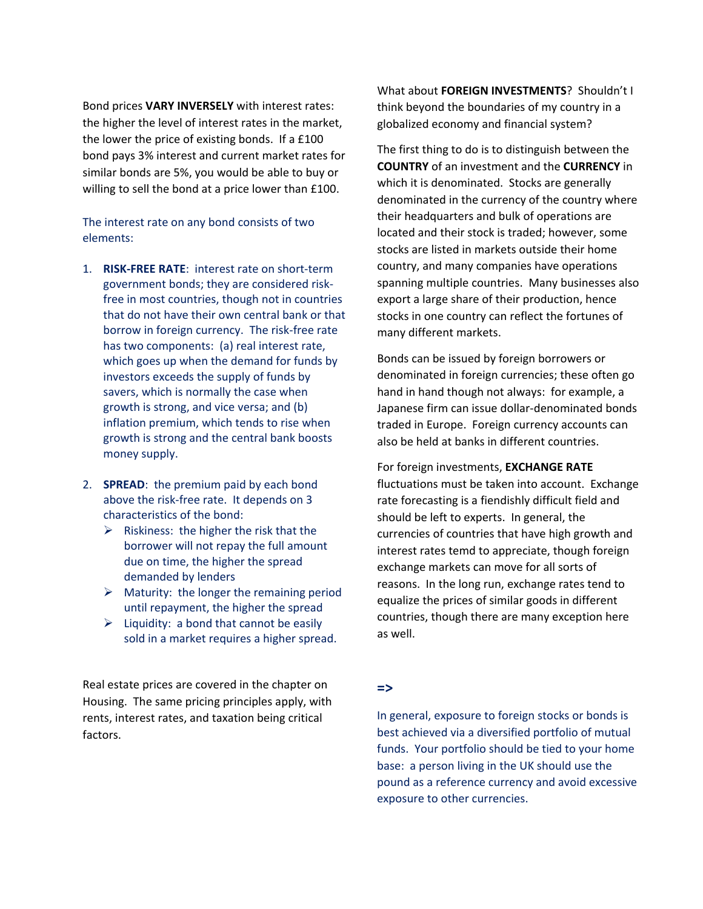Bond prices **VARY INVERSELY** with interest rates: the higher the level of interest rates in the market, the lower the price of existing bonds. If a £100 bond pays 3% interest and current market rates for similar bonds are 5%, you would be able to buy or willing to sell the bond at a price lower than £100.

## The interest rate on any bond consists of two elements:

- 1. **RISK-FREE RATE**: interest rate on short-term government bonds; they are considered riskfree in most countries, though not in countries that do not have their own central bank or that borrow in foreign currency. The risk-free rate has two components: (a) real interest rate, which goes up when the demand for funds by investors exceeds the supply of funds by savers, which is normally the case when growth is strong, and vice versa; and (b) inflation premium, which tends to rise when growth is strong and the central bank boosts money supply.
- 2. **SPREAD**: the premium paid by each bond above the risk-free rate. It depends on 3 characteristics of the bond:
	- $\triangleright$  Riskiness: the higher the risk that the borrower will not repay the full amount due on time, the higher the spread demanded by lenders
	- $\triangleright$  Maturity: the longer the remaining period until repayment, the higher the spread
	- $\triangleright$  Liquidity: a bond that cannot be easily sold in a market requires a higher spread.

Real estate prices are covered in the chapter on Housing. The same pricing principles apply, with rents, interest rates, and taxation being critical factors.

What about **FOREIGN INVESTMENTS**? Shouldn't I think beyond the boundaries of my country in a globalized economy and financial system?

The first thing to do is to distinguish between the **COUNTRY** of an investment and the **CURRENCY** in which it is denominated. Stocks are generally denominated in the currency of the country where their headquarters and bulk of operations are located and their stock is traded; however, some stocks are listed in markets outside their home country, and many companies have operations spanning multiple countries. Many businesses also export a large share of their production, hence stocks in one country can reflect the fortunes of many different markets.

Bonds can be issued by foreign borrowers or denominated in foreign currencies; these often go hand in hand though not always: for example, a Japanese firm can issue dollar-denominated bonds traded in Europe. Foreign currency accounts can also be held at banks in different countries.

For foreign investments, **EXCHANGE RATE** fluctuations must be taken into account. Exchange rate forecasting is a fiendishly difficult field and should be left to experts. In general, the currencies of countries that have high growth and interest rates temd to appreciate, though foreign exchange markets can move for all sorts of reasons. In the long run, exchange rates tend to equalize the prices of similar goods in different countries, though there are many exception here as well.

## **=>**

In general, exposure to foreign stocks or bonds is best achieved via a diversified portfolio of mutual funds. Your portfolio should be tied to your home base: a person living in the UK should use the pound as a reference currency and avoid excessive exposure to other currencies.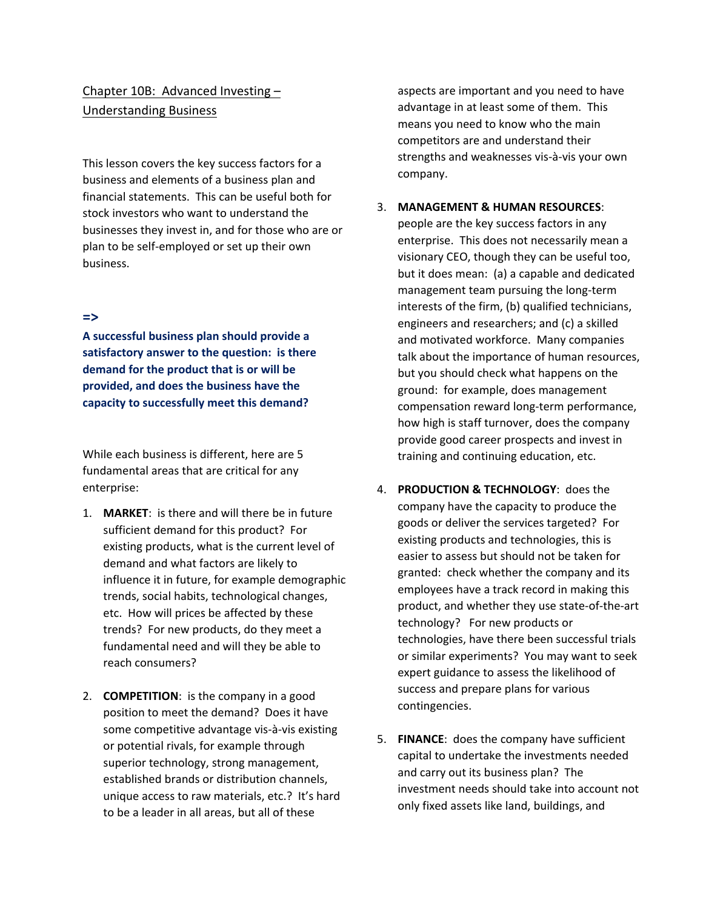## Chapter 10B: Advanced Investing – Understanding Business

This lesson covers the key success factors for a business and elements of a business plan and financial statements. This can be useful both for stock investors who want to understand the businesses they invest in, and for those who are or plan to be self-employed or set up their own business.

#### **=>**

**A successful business plan should provide a satisfactory answer to the question: is there demand for the product that is or will be provided, and does the business have the capacity to successfully meet this demand?** 

While each business is different, here are 5 fundamental areas that are critical for any enterprise:

- 1. **MARKET**: is there and will there be in future sufficient demand for this product? For existing products, what is the current level of demand and what factors are likely to influence it in future, for example demographic trends, social habits, technological changes, etc. How will prices be affected by these trends? For new products, do they meet a fundamental need and will they be able to reach consumers?
- 2. **COMPETITION**: is the company in a good position to meet the demand? Does it have some competitive advantage vis-à-vis existing or potential rivals, for example through superior technology, strong management, established brands or distribution channels, unique access to raw materials, etc.? It's hard to be a leader in all areas, but all of these

aspects are important and you need to have advantage in at least some of them. This means you need to know who the main competitors are and understand their strengths and weaknesses vis-à-vis your own company.

### 3. **MANAGEMENT & HUMAN RESOURCES**:

people are the key success factors in any enterprise. This does not necessarily mean a visionary CEO, though they can be useful too, but it does mean: (a) a capable and dedicated management team pursuing the long-term interests of the firm, (b) qualified technicians, engineers and researchers; and (c) a skilled and motivated workforce. Many companies talk about the importance of human resources, but you should check what happens on the ground: for example, does management compensation reward long-term performance, how high is staff turnover, does the company provide good career prospects and invest in training and continuing education, etc.

- 4. **PRODUCTION & TECHNOLOGY**: does the company have the capacity to produce the goods or deliver the services targeted? For existing products and technologies, this is easier to assess but should not be taken for granted: check whether the company and its employees have a track record in making this product, and whether they use state-of-the-art technology? For new products or technologies, have there been successful trials or similar experiments? You may want to seek expert guidance to assess the likelihood of success and prepare plans for various contingencies.
- 5. **FINANCE**: does the company have sufficient capital to undertake the investments needed and carry out its business plan? The investment needs should take into account not only fixed assets like land, buildings, and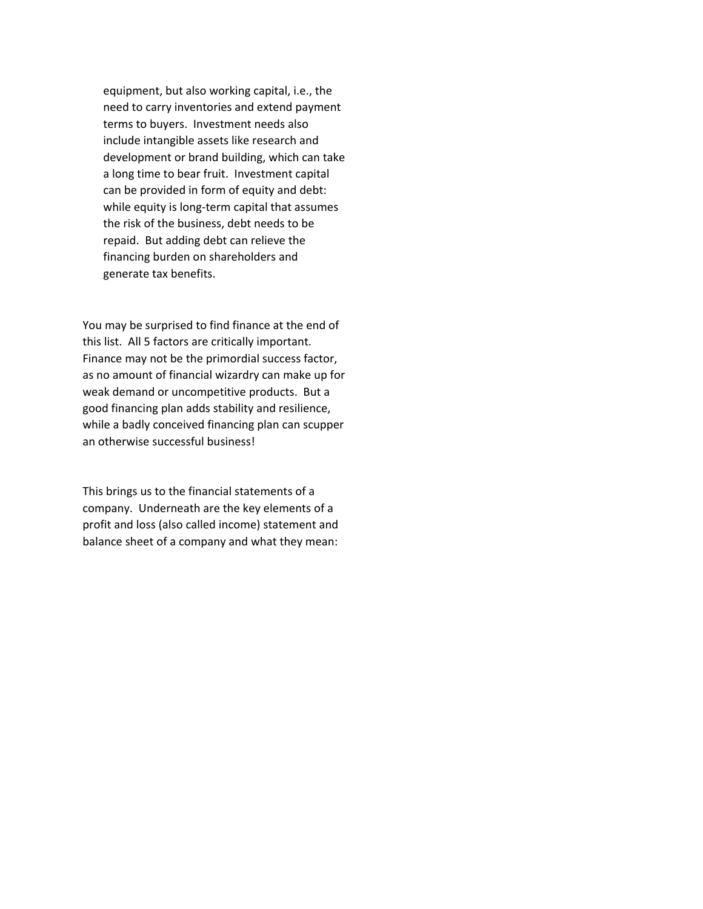equipment, but also working capital, i.e., the need to carry inventories and extend payment terms to buyers. Investment needs also include intangible assets like research and development or brand building, which can take a long time to bear fruit. Investment capital can be provided in form of equity and debt: while equity is long-term capital that assumes the risk of the business, debt needs to be repaid. But adding debt can relieve the financing burden on shareholders and generate tax benefits.

You may be surprised to find finance at the end of this list. All 5 factors are critically important. Finance may not be the primordial success factor, as no amount of financial wizardry can make up for weak demand or uncompetitive products. But a good financing plan adds stability and resilience, while a badly conceived financing plan can scupper an otherwise successful business!

This brings us to the financial statements of a company. Underneath are the key elements of a profit and loss (also called income) statement and balance sheet of a company and what they mean: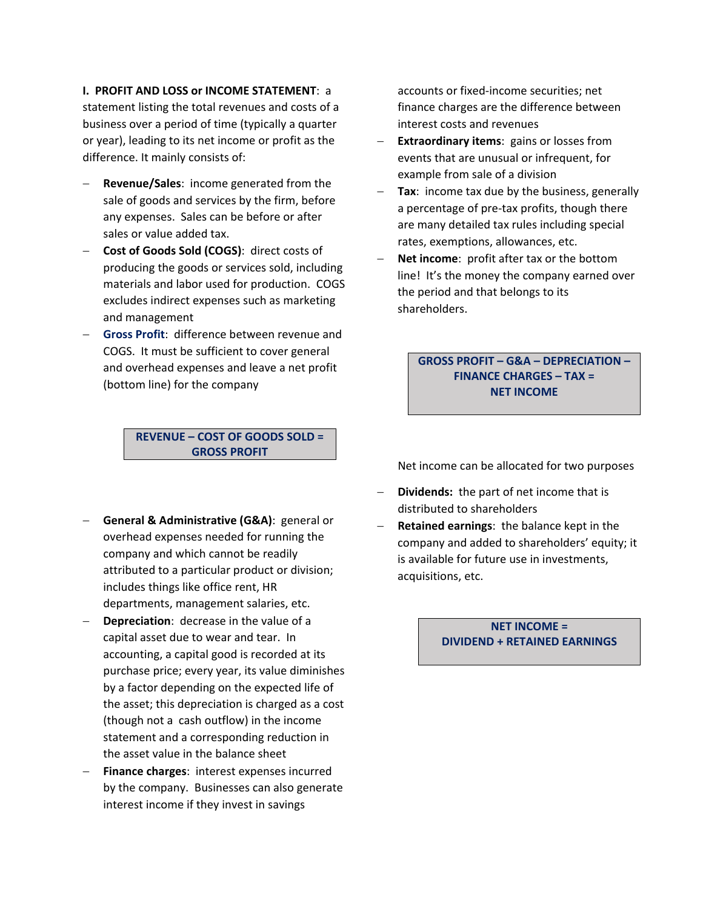#### **I. PROFIT AND LOSS or INCOME STATEMENT**: a

statement listing the total revenues and costs of a business over a period of time (typically a quarter or year), leading to its net income or profit as the difference. It mainly consists of:

- − **Revenue/Sales**: income generated from the sale of goods and services by the firm, before any expenses. Sales can be before or after sales or value added tax.
- − **Cost of Goods Sold (COGS)**: direct costs of producing the goods or services sold, including materials and labor used for production. COGS excludes indirect expenses such as marketing and management
- − **Gross Profit**: difference between revenue and COGS. It must be sufficient to cover general and overhead expenses and leave a net profit (bottom line) for the company

**REVENUE – COST OF GOODS SOLD = GROSS PROFIT**

- − **General & Administrative (G&A)**: general or overhead expenses needed for running the company and which cannot be readily attributed to a particular product or division; includes things like office rent, HR departments, management salaries, etc.
- − **Depreciation**: decrease in the value of a capital asset due to wear and tear. In accounting, a capital good is recorded at its purchase price; every year, its value diminishes by a factor depending on the expected life of the asset; this depreciation is charged as a cost (though not a cash outflow) in the income statement and a corresponding reduction in the asset value in the balance sheet
- Finance charges: interest expenses incurred by the company. Businesses can also generate interest income if they invest in savings

accounts or fixed-income securities; net finance charges are the difference between interest costs and revenues

- − **Extraordinary items**: gains or losses from events that are unusual or infrequent, for example from sale of a division
- **Tax:** income tax due by the business, generally a percentage of pre-tax profits, though there are many detailed tax rules including special rates, exemptions, allowances, etc.
- − **Net income**: profit after tax or the bottom line! It's the money the company earned over the period and that belongs to its shareholders.

## **GROSS PROFIT – G&A – DEPRECIATION – FINANCE CHARGES – TAX = NET INCOME**

Net income can be allocated for two purposes

- − **Dividends:** the part of net income that is distributed to shareholders
- − **Retained earnings**: the balance kept in the company and added to shareholders' equity; it is available for future use in investments, acquisitions, etc.

**NET INCOME = DIVIDEND + RETAINED EARNINGS**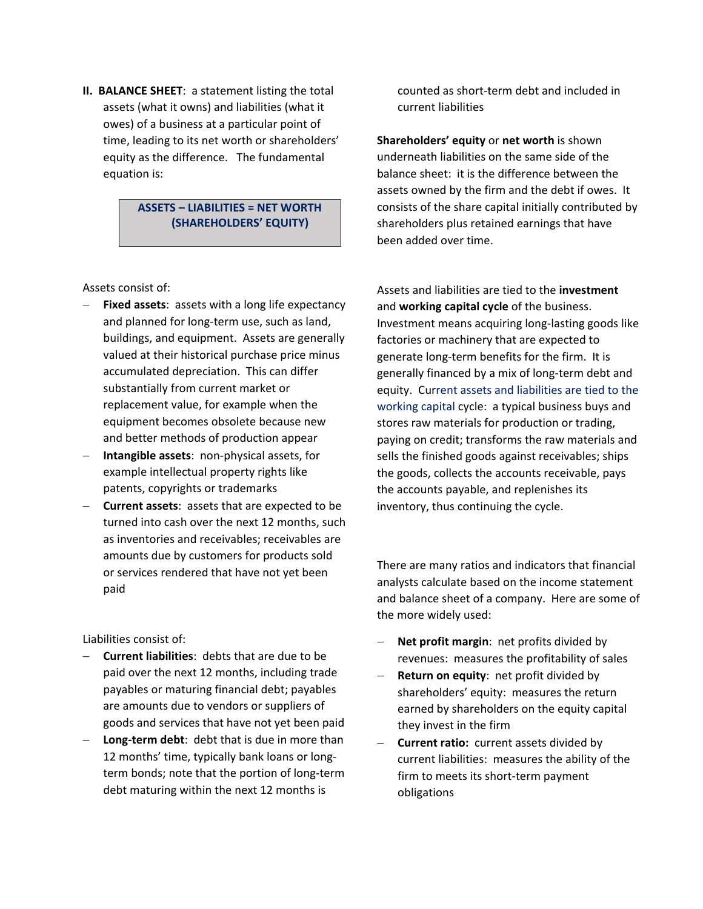**II. BALANCE SHEET**: a statement listing the total assets (what it owns) and liabilities (what it owes) of a business at a particular point of time, leading to its net worth or shareholders' equity as the difference. The fundamental equation is:

## **ASSETS – LIABILITIES = NET WORTH (SHAREHOLDERS' EQUITY)**

Assets consist of:

- Fixed assets: assets with a long life expectancy and planned for long-term use, such as land, buildings, and equipment. Assets are generally valued at their historical purchase price minus accumulated depreciation. This can differ substantially from current market or replacement value, for example when the equipment becomes obsolete because new and better methods of production appear
- − **Intangible assets**: non-physical assets, for example intellectual property rights like patents, copyrights or trademarks
- − **Current assets**: assets that are expected to be turned into cash over the next 12 months, such as inventories and receivables; receivables are amounts due by customers for products sold or services rendered that have not yet been paid

Liabilities consist of:

- − **Current liabilities**: debts that are due to be paid over the next 12 months, including trade payables or maturing financial debt; payables are amounts due to vendors or suppliers of goods and services that have not yet been paid
- **Long-term debt:** debt that is due in more than 12 months' time, typically bank loans or longterm bonds; note that the portion of long-term debt maturing within the next 12 months is

counted as short-term debt and included in current liabilities

**Shareholders' equity** or **net worth** is shown underneath liabilities on the same side of the balance sheet: it is the difference between the assets owned by the firm and the debt if owes. It consists of the share capital initially contributed by shareholders plus retained earnings that have been added over time.

Assets and liabilities are tied to the **investment**  and **working capital cycle** of the business. Investment means acquiring long-lasting goods like factories or machinery that are expected to generate long-term benefits for the firm. It is generally financed by a mix of long-term debt and equity. Current assets and liabilities are tied to the working capital cycle: a typical business buys and stores raw materials for production or trading, paying on credit; transforms the raw materials and sells the finished goods against receivables; ships the goods, collects the accounts receivable, pays the accounts payable, and replenishes its inventory, thus continuing the cycle.

There are many ratios and indicators that financial analysts calculate based on the income statement and balance sheet of a company. Here are some of the more widely used:

- − **Net profit margin**: net profits divided by revenues: measures the profitability of sales
- − **Return on equity**: net profit divided by shareholders' equity: measures the return earned by shareholders on the equity capital they invest in the firm
- − **Current ratio:** current assets divided by current liabilities: measures the ability of the firm to meets its short-term payment obligations